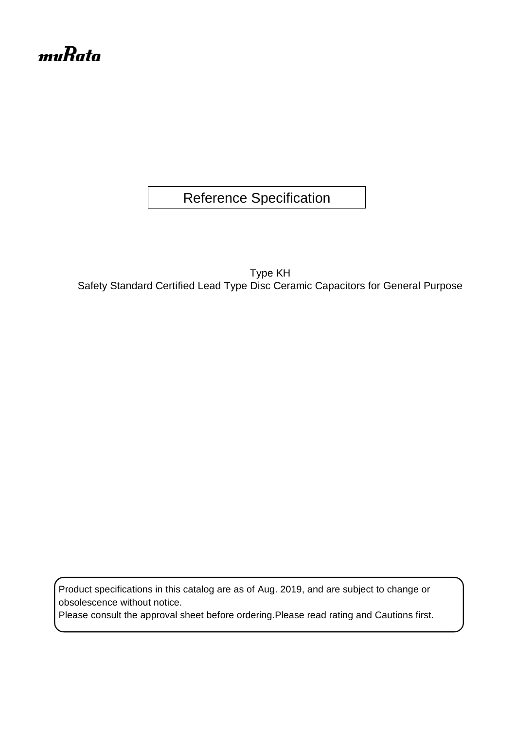# muRata

Reference Specification

Type KH Safety Standard Certified Lead Type Disc Ceramic Capacitors for General Purpose

Product specifications in this catalog are as of Aug. 2019, and are subject to change or obsolescence without notice.

Please consult the approval sheet before ordering.Please read rating and Cautions first.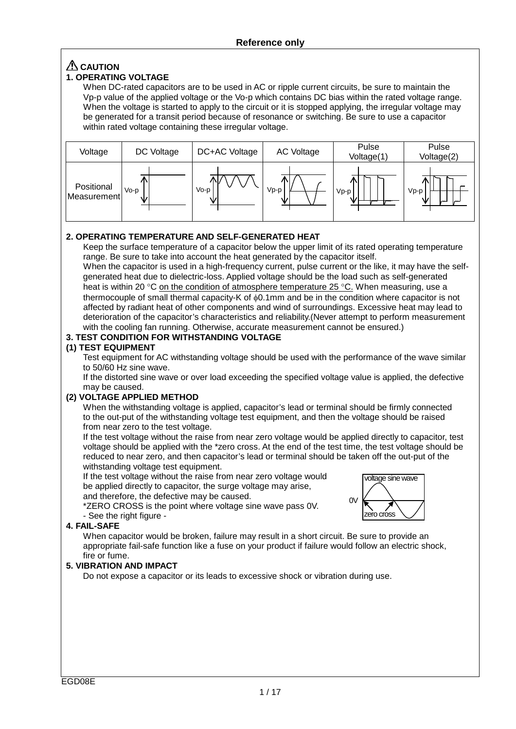# **CAUTION**

# **1. OPERATING VOLTAGE**

When DC-rated capacitors are to be used in AC or ripple current circuits, be sure to maintain the Vp-p value of the applied voltage or the Vo-p which contains DC bias within the rated voltage range. When the voltage is started to apply to the circuit or it is stopped applying, the irregular voltage may be generated for a transit period because of resonance or switching. Be sure to use a capacitor within rated voltage containing these irregular voltage.



### **2. OPERATING TEMPERATURE AND SELF-GENERATED HEAT**

Keep the surface temperature of a capacitor below the upper limit of its rated operating temperature range. Be sure to take into account the heat generated by the capacitor itself.

When the capacitor is used in a high-frequency current, pulse current or the like, it may have the selfgenerated heat due to dielectric-loss. Applied voltage should be the load such as self-generated heat is within 20 °C on the condition of atmosphere temperature 25 °C. When measuring, use a thermocouple of small thermal capacity-K of φ0.1mm and be in the condition where capacitor is not affected by radiant heat of other components and wind of surroundings. Excessive heat may lead to deterioration of the capacitor's characteristics and reliability.(Never attempt to perform measurement with the cooling fan running. Otherwise, accurate measurement cannot be ensured.)

## **3. TEST CONDITION FOR WITHSTANDING VOLTAGE**

#### **(1) TEST EQUIPMENT**

Test equipment for AC withstanding voltage should be used with the performance of the wave similar to 50/60 Hz sine wave.

If the distorted sine wave or over load exceeding the specified voltage value is applied, the defective may be caused.

#### **(2) VOLTAGE APPLIED METHOD**

When the withstanding voltage is applied, capacitor's lead or terminal should be firmly connected to the out-put of the withstanding voltage test equipment, and then the voltage should be raised from near zero to the test voltage.

If the test voltage without the raise from near zero voltage would be applied directly to capacitor, test voltage should be applied with the \*zero cross. At the end of the test time, the test voltage should be reduced to near zero, and then capacitor's lead or terminal should be taken off the out-put of the withstanding voltage test equipment.

If the test voltage without the raise from near zero voltage would be applied directly to capacitor, the surge voltage may arise, and therefore, the defective may be caused.

\*ZERO CROSS is the point where voltage sine wave pass 0V.



#### - See the right figure -**4. FAIL-SAFE**

When capacitor would be broken, failure may result in a short circuit. Be sure to provide an appropriate fail-safe function like a fuse on your product if failure would follow an electric shock, fire or fume.

### **5. VIBRATION AND IMPACT**

Do not expose a capacitor or its leads to excessive shock or vibration during use.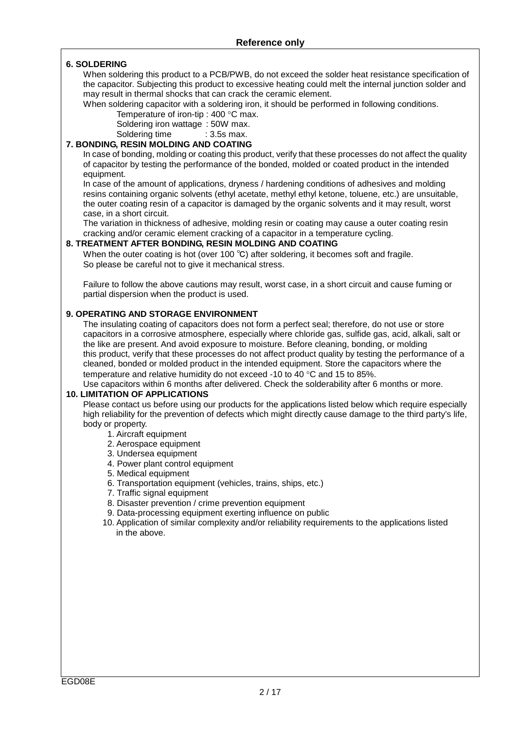#### **6. SOLDERING**

When soldering this product to a PCB/PWB, do not exceed the solder heat resistance specification of the capacitor. Subjecting this product to excessive heating could melt the internal junction solder and may result in thermal shocks that can crack the ceramic element.

When soldering capacitor with a soldering iron, it should be performed in following conditions.

Temperature of iron-tip : 400 °C max.

Soldering iron wattage : 50W max.

Soldering time : 3.5s max.

# **7. BONDING, RESIN MOLDING AND COATING**

In case of bonding, molding or coating this product, verify that these processes do not affect the quality of capacitor by testing the performance of the bonded, molded or coated product in the intended equipment.

In case of the amount of applications, dryness / hardening conditions of adhesives and molding resins containing organic solvents (ethyl acetate, methyl ethyl ketone, toluene, etc.) are unsuitable, the outer coating resin of a capacitor is damaged by the organic solvents and it may result, worst case, in a short circuit.

The variation in thickness of adhesive, molding resin or coating may cause a outer coating resin cracking and/or ceramic element cracking of a capacitor in a temperature cycling.

#### **8. TREATMENT AFTER BONDING, RESIN MOLDING AND COATING**

When the outer coating is hot (over 100 °C) after soldering, it becomes soft and fragile. So please be careful not to give it mechanical stress.

Failure to follow the above cautions may result, worst case, in a short circuit and cause fuming or partial dispersion when the product is used.

#### **9. OPERATING AND STORAGE ENVIRONMENT**

The insulating coating of capacitors does not form a perfect seal; therefore, do not use or store capacitors in a corrosive atmosphere, especially where chloride gas, sulfide gas, acid, alkali, salt or the like are present. And avoid exposure to moisture. Before cleaning, bonding, or molding this product, verify that these processes do not affect product quality by testing the performance of a cleaned, bonded or molded product in the intended equipment. Store the capacitors where the temperature and relative humidity do not exceed -10 to 40 °C and 15 to 85%.

Use capacitors within 6 months after delivered. Check the solderability after 6 months or more.

#### **10. LIMITATION OF APPLICATIONS**

Please contact us before using our products for the applications listed below which require especially high reliability for the prevention of defects which might directly cause damage to the third party's life, body or property.

- 1. Aircraft equipment
- 2. Aerospace equipment
- 3. Undersea equipment
- 4. Power plant control equipment
- 5. Medical equipment
- 6. Transportation equipment (vehicles, trains, ships, etc.)
- 7. Traffic signal equipment
- 8. Disaster prevention / crime prevention equipment
- 9. Data-processing equipment exerting influence on public
- 10. Application of similar complexity and/or reliability requirements to the applications listed in the above.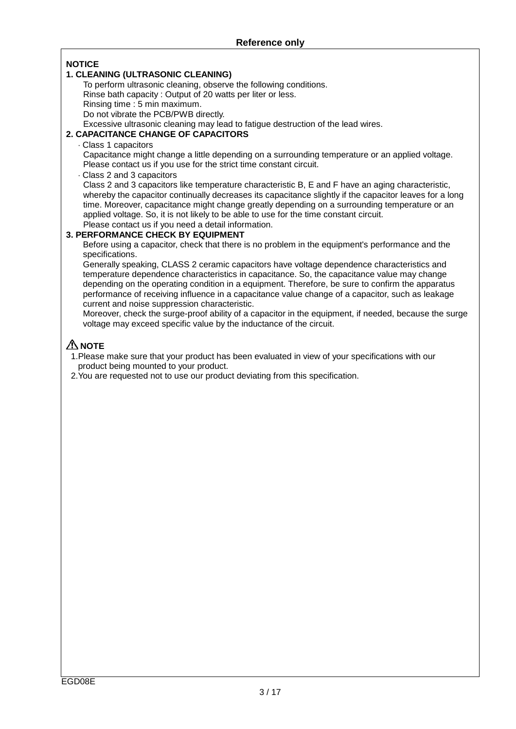### **NOTICE**

#### **1. CLEANING (ULTRASONIC CLEANING)**

To perform ultrasonic cleaning, observe the following conditions.

Rinse bath capacity : Output of 20 watts per liter or less.

Rinsing time : 5 min maximum.

Do not vibrate the PCB/PWB directly.

Excessive ultrasonic cleaning may lead to fatigue destruction of the lead wires.

## **2. CAPACITANCE CHANGE OF CAPACITORS**

⋅ Class 1 capacitors

Capacitance might change a little depending on a surrounding temperature or an applied voltage. Please contact us if you use for the strict time constant circuit.

⋅ Class 2 and 3 capacitors

Class 2 and 3 capacitors like temperature characteristic B, E and F have an aging characteristic, whereby the capacitor continually decreases its capacitance slightly if the capacitor leaves for a long time. Moreover, capacitance might change greatly depending on a surrounding temperature or an applied voltage. So, it is not likely to be able to use for the time constant circuit. Please contact us if you need a detail information.

### **3. PERFORMANCE CHECK BY EQUIPMENT**

Before using a capacitor, check that there is no problem in the equipment's performance and the specifications.

Generally speaking, CLASS 2 ceramic capacitors have voltage dependence characteristics and temperature dependence characteristics in capacitance. So, the capacitance value may change depending on the operating condition in a equipment. Therefore, be sure to confirm the apparatus performance of receiving influence in a capacitance value change of a capacitor, such as leakage current and noise suppression characteristic.

Moreover, check the surge-proof ability of a capacitor in the equipment, if needed, because the surge voltage may exceed specific value by the inductance of the circuit.

# **A** NOTE

1.Please make sure that your product has been evaluated in view of your specifications with our product being mounted to your product.

2.You are requested not to use our product deviating from this specification.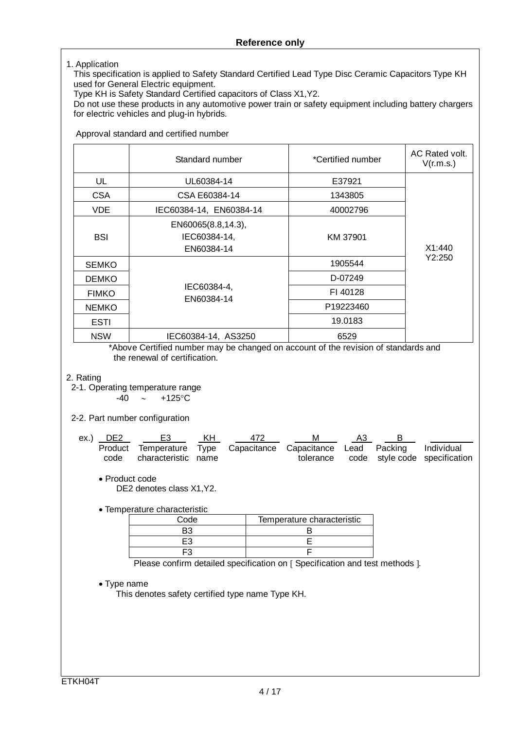#### 1. Application

This specification is applied to Safety Standard Certified Lead Type Disc Ceramic Capacitors Type KH used for General Electric equipment.

Type KH is Safety Standard Certified capacitors of Class X1,Y2.

Do not use these products in any automotive power train or safety equipment including battery chargers for electric vehicles and plug-in hybrids.

Approval standard and certified number

|              | Standard number                                                                                             | *Certified number | AC Rated volt.<br>V(r.m.s.) |
|--------------|-------------------------------------------------------------------------------------------------------------|-------------------|-----------------------------|
| UL           | UL60384-14                                                                                                  | E37921            |                             |
| <b>CSA</b>   | CSA E60384-14                                                                                               | 1343805           |                             |
| VDE          | IEC60384-14, EN60384-14                                                                                     | 40002796          |                             |
| <b>BSI</b>   | EN60065(8.8,14.3),<br>IEC60384-14,<br>EN60384-14                                                            | KM 37901          | X1:440                      |
| <b>SEMKO</b> |                                                                                                             | 1905544           | Y2:250                      |
| <b>DEMKO</b> |                                                                                                             | D-07249           |                             |
| <b>FIMKO</b> | IEC60384-4,<br>EN60384-14                                                                                   | FI 40128          |                             |
| <b>NEMKO</b> |                                                                                                             | P19223460         |                             |
| <b>ESTI</b>  |                                                                                                             | 19.0183           |                             |
| <b>NSW</b>   | IEC60384-14, AS3250<br>*Abous Contiliad puppe none be above as a consumt of the residence of ctopedards and | 6529              |                             |

\*Above Certified number may be changed on account of the revision of standards and the renewal of certification.

#### 2. Rating

2-1. Operating temperature range

-40 ∼ +125°C

#### 2-2. Part number configuration

| ex.) DE2 | - E3                                                                                                 | – KH | 472 | M | A3 |                                         |
|----------|------------------------------------------------------------------------------------------------------|------|-----|---|----|-----------------------------------------|
|          | Product Temperature Type Capacitance Capacitance Lead Packing Individual<br>code characteristic name |      |     |   |    | tolerance code style code specification |

• Product code DE2 denotes class X1,Y2.

• Temperature characteristic

| Code | Temperature characteristic |
|------|----------------------------|
|      |                            |
|      |                            |
|      |                            |

Please confirm detailed specification on [ Specification and test methods ].

• Type name

This denotes safety certified type name Type KH.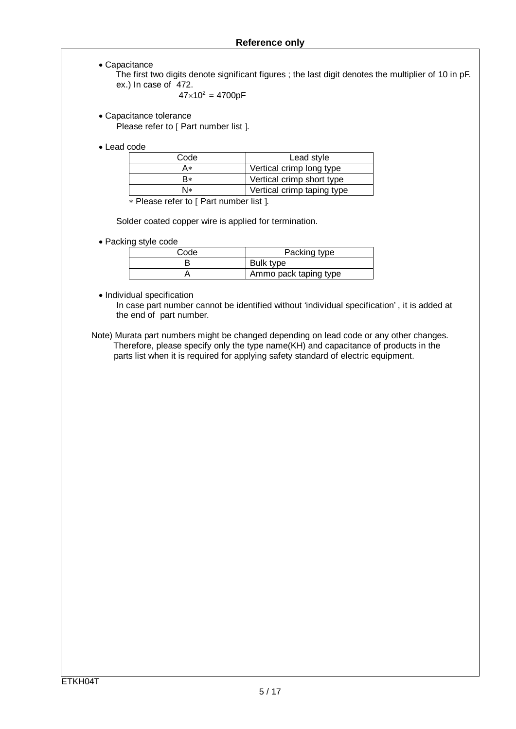• Capacitance

The first two digits denote significant figures ; the last digit denotes the multiplier of 10 in pF. ex.) In case of 472.

$$
47\times10^2=4700pF
$$

• Capacitance tolerance Please refer to [ Part number list ].

• Lead code

| Code | Lead style                  |  |  |
|------|-----------------------------|--|--|
| A∗   | Vertical crimp long type    |  |  |
| R∗   | Vertical crimp short type   |  |  |
| N∗   | Vertical crimp taping type  |  |  |
|      | $\sim$ $\sim$ $\sim$ $\sim$ |  |  |

∗ Please refer to [ Part number list ].

Solder coated copper wire is applied for termination.

• Packing style code

| Code | Packing type          |
|------|-----------------------|
|      | Bulk type             |
|      | Ammo pack taping type |

• Individual specification

 In case part number cannot be identified without 'individual specification' , it is added at the end of part number.

 Note) Murata part numbers might be changed depending on lead code or any other changes. Therefore, please specify only the type name(KH) and capacitance of products in the parts list when it is required for applying safety standard of electric equipment.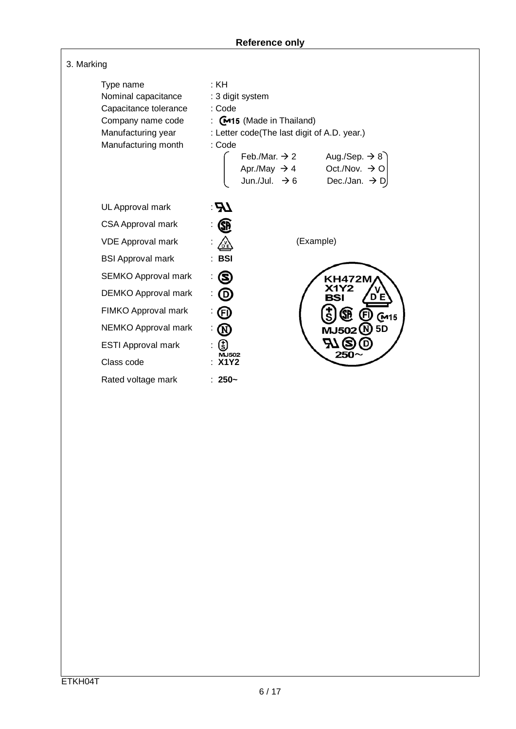| 3. Marking                                                                                                                  |                                                                                                                                                                                                                                                                                                                  |
|-----------------------------------------------------------------------------------------------------------------------------|------------------------------------------------------------------------------------------------------------------------------------------------------------------------------------------------------------------------------------------------------------------------------------------------------------------|
| Type name<br>Nominal capacitance<br>Capacitance tolerance<br>Company name code<br>Manufacturing year<br>Manufacturing month | :KH<br>: 3 digit system<br>: Code<br>: $\mathbb{C}$ 415 (Made in Thailand)<br>: Letter code(The last digit of A.D. year.)<br>: Code<br>Aug./Sep. $\rightarrow$ 8<br>Feb./Mar. $\rightarrow$ 2<br>Oct./Nov. $\rightarrow$ O<br>Apr./May $\rightarrow$ 4<br>Jun./Jul. $\rightarrow$ 6<br>Dec./Jan. $\rightarrow$ D |
| UL Approval mark                                                                                                            | $\boldsymbol{H}$                                                                                                                                                                                                                                                                                                 |
| <b>CSA Approval mark</b>                                                                                                    |                                                                                                                                                                                                                                                                                                                  |
| <b>VDE Approval mark</b>                                                                                                    | (Example)<br>씷                                                                                                                                                                                                                                                                                                   |
| <b>BSI Approval mark</b>                                                                                                    | <b>BSI</b>                                                                                                                                                                                                                                                                                                       |
| <b>SEMKO Approval mark</b>                                                                                                  | 8<br><b>KH472M</b>                                                                                                                                                                                                                                                                                               |
| <b>DEMKO Approval mark</b>                                                                                                  |                                                                                                                                                                                                                                                                                                                  |
| FIMKO Approval mark                                                                                                         | Ē<br>(M15                                                                                                                                                                                                                                                                                                        |
| NEMKO Approval mark                                                                                                         | Ø<br>5 <sub>D</sub><br>MJ502 (N                                                                                                                                                                                                                                                                                  |
| <b>ESTI Approval mark</b>                                                                                                   | (ई)                                                                                                                                                                                                                                                                                                              |
| Class code                                                                                                                  | <b>MJ502</b><br><b>X1Y2</b>                                                                                                                                                                                                                                                                                      |
| Rated voltage mark                                                                                                          | $: 250-$                                                                                                                                                                                                                                                                                                         |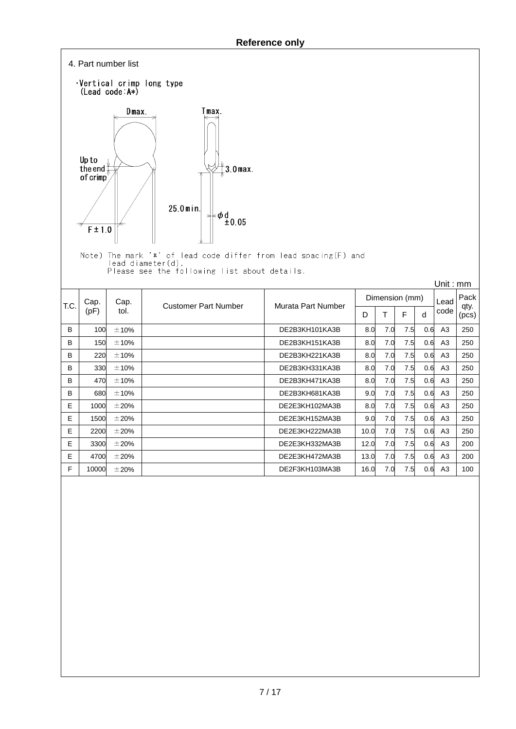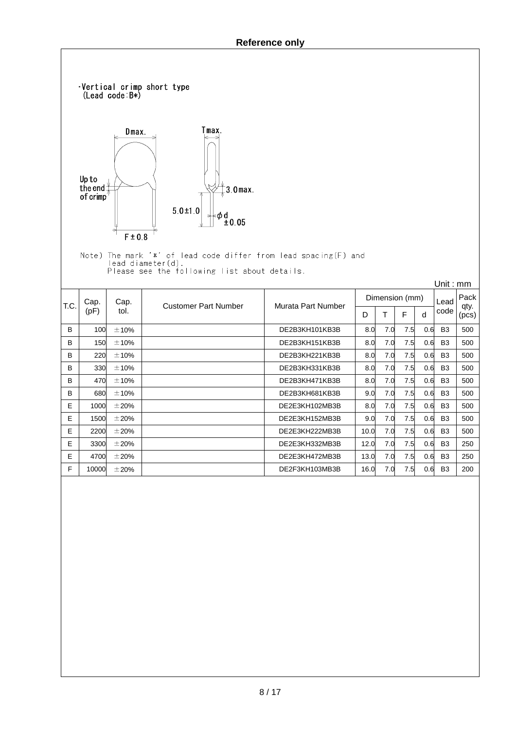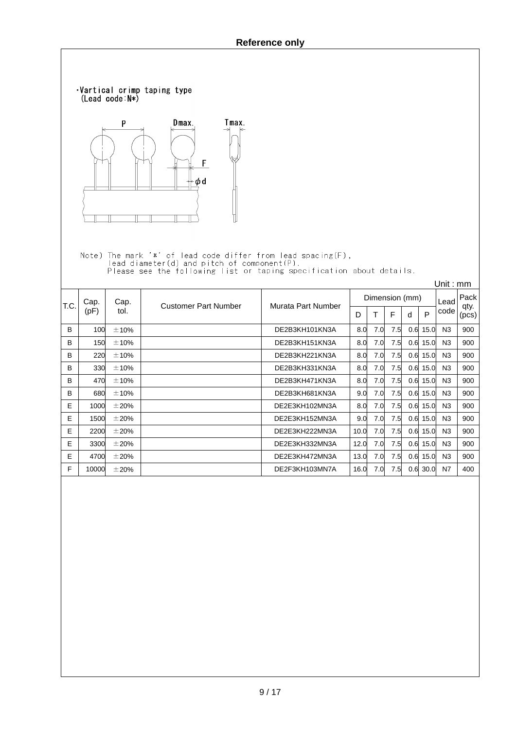![](_page_9_Figure_1.jpeg)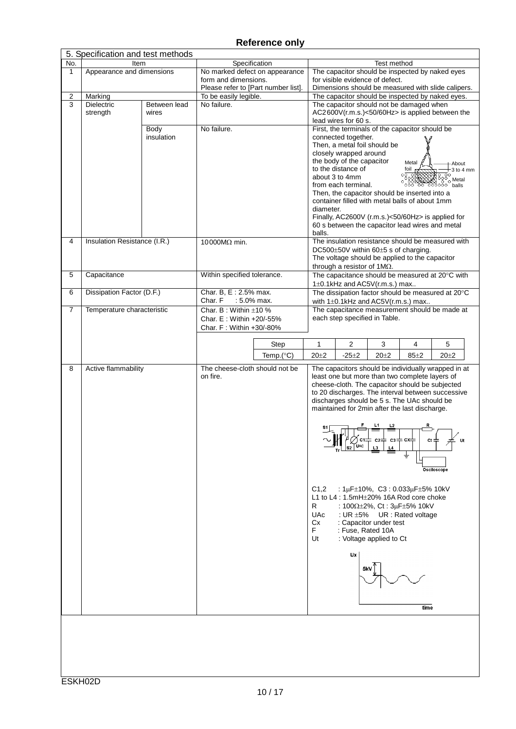|                | 5. Specification and test methods |            |                                                             |                     |                                                                                |                                                                                                  |  |
|----------------|-----------------------------------|------------|-------------------------------------------------------------|---------------------|--------------------------------------------------------------------------------|--------------------------------------------------------------------------------------------------|--|
| No.            | Item                              |            | Specification                                               |                     |                                                                                | Test method                                                                                      |  |
| 1              | Appearance and dimensions         |            | No marked defect on appearance                              |                     |                                                                                | The capacitor should be inspected by naked eyes<br>for visible evidence of defect.               |  |
|                |                                   |            | form and dimensions.<br>Please refer to [Part number list]. |                     |                                                                                | Dimensions should be measured with slide calipers.                                               |  |
| $\overline{c}$ | Marking                           |            | To be easily legible.                                       |                     | The capacitor should be inspected by naked eyes.                               |                                                                                                  |  |
| 3              | <b>Dielectric</b><br>Between lead |            | No failure.                                                 |                     |                                                                                | The capacitor should not be damaged when                                                         |  |
|                | strength                          | wires      |                                                             |                     |                                                                                | AC2600V(r.m.s.)<50/60Hz> is applied between the                                                  |  |
|                |                                   |            |                                                             |                     |                                                                                | lead wires for 60 s.                                                                             |  |
|                |                                   | Body       | No failure.                                                 |                     | First, the terminals of the capacitor should be                                |                                                                                                  |  |
|                |                                   | insulation |                                                             |                     |                                                                                | connected together.<br>Then, a metal foil should be                                              |  |
|                |                                   |            |                                                             |                     |                                                                                | closely wrapped around                                                                           |  |
|                |                                   |            |                                                             |                     |                                                                                | the body of the capacitor<br>Metal<br>About                                                      |  |
|                |                                   |            |                                                             |                     |                                                                                | to the distance of<br>foil<br>$3$ to $4$ mm                                                      |  |
|                |                                   |            |                                                             |                     |                                                                                | $\frac{1}{2000}$<br>about 3 to 4mm<br>' <sub>o</sub> Metal                                       |  |
|                |                                   |            |                                                             |                     |                                                                                | from each terminal.<br>oŏŏ<br>balls<br>Then, the capacitor should be inserted into a             |  |
|                |                                   |            |                                                             |                     |                                                                                | container filled with metal balls of about 1mm                                                   |  |
|                |                                   |            |                                                             |                     | diameter.                                                                      |                                                                                                  |  |
|                |                                   |            |                                                             |                     |                                                                                | Finally, AC2600V (r.m.s.)<50/60Hz> is applied for                                                |  |
|                |                                   |            |                                                             |                     |                                                                                | 60 s between the capacitor lead wires and metal                                                  |  |
|                |                                   |            |                                                             |                     | balls.                                                                         |                                                                                                  |  |
| 4              | Insulation Resistance (I.R.)      |            | 10000MΩ min.                                                |                     |                                                                                | The insulation resistance should be measured with<br>DC500±50V within 60±5 s of charging.        |  |
|                |                                   |            |                                                             |                     |                                                                                | The voltage should be applied to the capacitor                                                   |  |
|                |                                   |            |                                                             |                     |                                                                                | through a resistor of $1M\Omega$ .                                                               |  |
| 5              | Capacitance                       |            | Within specified tolerance.                                 |                     |                                                                                | The capacitance should be measured at 20°C with                                                  |  |
|                |                                   |            |                                                             |                     |                                                                                | 1±0.1kHz and AC5V(r.m.s.) max                                                                    |  |
| 6              | Dissipation Factor (D.F.)         |            | Char. B, E: 2.5% max.                                       |                     | The dissipation factor should be measured at 20°C                              |                                                                                                  |  |
| 7              | Temperature characteristic        |            | Char. F<br>: 5.0% max.<br>Char. B: Within $\pm 10$ %        |                     | with $1\pm0.1$ kHz and AC5V(r.m.s.) max                                        |                                                                                                  |  |
|                |                                   |            | Char. E: Within +20/-55%                                    |                     | The capacitance measurement should be made at<br>each step specified in Table. |                                                                                                  |  |
|                |                                   |            | Char. F: Within +30/-80%                                    |                     |                                                                                |                                                                                                  |  |
|                |                                   |            |                                                             |                     |                                                                                |                                                                                                  |  |
|                |                                   |            |                                                             | Step                | $\mathbf{1}$                                                                   | $\overline{2}$<br>3<br>4<br>5                                                                    |  |
|                |                                   |            |                                                             | Temp. $(^{\circ}C)$ | $20 + 2$                                                                       | $-25+2$<br>$20 + 2$<br>$85 \pm 2$<br>$20 + 2$                                                    |  |
| 8              | Active flammability               |            | The cheese-cloth should not be                              |                     |                                                                                | The capacitors should be individually wrapped in at                                              |  |
|                |                                   |            | on fire.                                                    |                     |                                                                                | least one but more than two complete layers of                                                   |  |
|                |                                   |            |                                                             |                     |                                                                                | cheese-cloth. The capacitor should be subjected                                                  |  |
|                |                                   |            |                                                             |                     |                                                                                | to 20 discharges. The interval between successive<br>discharges should be 5 s. The UAc should be |  |
|                |                                   |            |                                                             |                     |                                                                                | maintained for 2min after the last discharge.                                                    |  |
|                |                                   |            |                                                             |                     |                                                                                |                                                                                                  |  |
|                |                                   |            |                                                             |                     |                                                                                |                                                                                                  |  |
|                |                                   |            |                                                             |                     |                                                                                |                                                                                                  |  |
|                |                                   |            |                                                             |                     |                                                                                | $s_2$ $\sqrt{\frac{1}{2}}$<br>L3                                                                 |  |
|                |                                   |            |                                                             |                     |                                                                                |                                                                                                  |  |
|                |                                   |            |                                                             |                     |                                                                                | Osciloscope                                                                                      |  |
|                |                                   |            |                                                             |                     |                                                                                |                                                                                                  |  |
|                |                                   |            |                                                             |                     | C1,2                                                                           | : $1\mu$ F $\pm$ 10%, C3: 0.033 $\mu$ F $\pm$ 5% 10kV                                            |  |
|                |                                   |            |                                                             |                     |                                                                                | L1 to L4 : 1.5mH±20% 16A Rod core choke                                                          |  |
|                |                                   |            |                                                             |                     | R                                                                              | : $100\Omega \pm 2\%$ , Ct : $3\mu$ F $\pm 5\%$ 10kV                                             |  |
|                |                                   |            |                                                             |                     | <b>UAc</b>                                                                     | : UR $\pm 5\%$<br>UR: Rated voltage                                                              |  |
|                |                                   |            |                                                             |                     | Cx                                                                             | : Capacitor under test                                                                           |  |
|                |                                   |            |                                                             |                     | F.<br>Ut                                                                       | : Fuse, Rated 10A<br>: Voltage applied to Ct                                                     |  |
|                |                                   |            |                                                             |                     |                                                                                |                                                                                                  |  |
|                |                                   |            |                                                             |                     |                                                                                | Ux                                                                                               |  |
|                |                                   |            |                                                             |                     |                                                                                |                                                                                                  |  |
|                |                                   |            |                                                             |                     |                                                                                |                                                                                                  |  |
|                |                                   |            |                                                             |                     |                                                                                |                                                                                                  |  |
|                |                                   |            |                                                             |                     |                                                                                |                                                                                                  |  |
|                |                                   |            |                                                             |                     |                                                                                | time                                                                                             |  |
|                |                                   |            |                                                             |                     |                                                                                |                                                                                                  |  |
|                |                                   |            |                                                             |                     |                                                                                |                                                                                                  |  |
|                |                                   |            |                                                             |                     |                                                                                |                                                                                                  |  |
|                |                                   |            |                                                             |                     |                                                                                |                                                                                                  |  |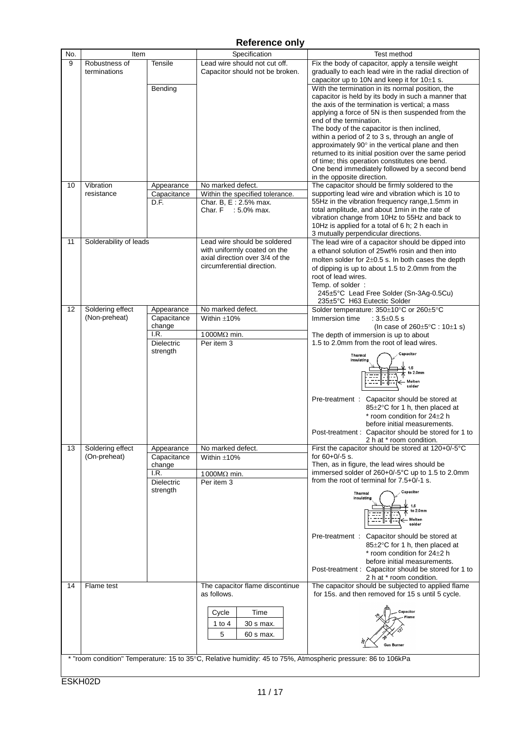| No. | Item                   |             | Specification                                                                                                | Test method                                                                                       |
|-----|------------------------|-------------|--------------------------------------------------------------------------------------------------------------|---------------------------------------------------------------------------------------------------|
| 9   | Robustness of          | Tensile     | Lead wire should not cut off.                                                                                | Fix the body of capacitor, apply a tensile weight                                                 |
|     | terminations           |             | Capacitor should not be broken.                                                                              | gradually to each lead wire in the radial direction of                                            |
|     |                        |             |                                                                                                              | capacitor up to 10N and keep it for $10±1$ s.                                                     |
|     |                        | Bending     |                                                                                                              | With the termination in its normal position, the                                                  |
|     |                        |             |                                                                                                              | capacitor is held by its body in such a manner that                                               |
|     |                        |             |                                                                                                              | the axis of the termination is vertical; a mass                                                   |
|     |                        |             |                                                                                                              | applying a force of 5N is then suspended from the                                                 |
|     |                        |             |                                                                                                              | end of the termination.                                                                           |
|     |                        |             |                                                                                                              | The body of the capacitor is then inclined,                                                       |
|     |                        |             |                                                                                                              | within a period of 2 to 3 s, through an angle of                                                  |
|     |                        |             |                                                                                                              | approximately 90° in the vertical plane and then                                                  |
|     |                        |             |                                                                                                              | returned to its initial position over the same period                                             |
|     |                        |             |                                                                                                              | of time; this operation constitutes one bend.                                                     |
|     |                        |             |                                                                                                              | One bend immediately followed by a second bend                                                    |
|     |                        |             |                                                                                                              | in the opposite direction.                                                                        |
| 10  | Vibration              | Appearance  | No marked defect.                                                                                            | The capacitor should be firmly soldered to the                                                    |
|     | resistance             | Capacitance | Within the specified tolerance.                                                                              | supporting lead wire and vibration which is 10 to                                                 |
|     |                        | D.F.        | Char. B, E: 2.5% max.                                                                                        | 55Hz in the vibration frequency range, 1.5mm in                                                   |
|     |                        |             | Char. F : 5.0% max.                                                                                          | total amplitude, and about 1min in the rate of                                                    |
|     |                        |             |                                                                                                              | vibration change from 10Hz to 55Hz and back to<br>10Hz is applied for a total of 6 h; 2 h each in |
|     |                        |             |                                                                                                              | 3 mutually perpendicular directions.                                                              |
| 11  | Solderability of leads |             | Lead wire should be soldered                                                                                 | The lead wire of a capacitor should be dipped into                                                |
|     |                        |             | with uniformly coated on the                                                                                 | a ethanol solution of 25wt% rosin and then into                                                   |
|     |                        |             | axial direction over 3/4 of the                                                                              | molten solder for $2\pm0.5$ s. In both cases the depth                                            |
|     |                        |             | circumferential direction.                                                                                   | of dipping is up to about 1.5 to 2.0mm from the                                                   |
|     |                        |             |                                                                                                              | root of lead wires.                                                                               |
|     |                        |             |                                                                                                              | Temp. of solder:                                                                                  |
|     |                        |             |                                                                                                              | 245±5°C Lead Free Solder (Sn-3Ag-0.5Cu)                                                           |
|     |                        |             |                                                                                                              | 235±5°C H63 Eutectic Solder                                                                       |
| 12  | Soldering effect       | Appearance  | No marked defect.                                                                                            | Solder temperature: 350±10°C or 260±5°C                                                           |
|     | (Non-preheat)          | Capacitance | Within $\pm 10\%$                                                                                            | Immersion time<br>: $3.5 \pm 0.5$ s                                                               |
|     |                        | change      |                                                                                                              | (In case of $260 \pm 5^{\circ}$ C : 10 $\pm$ 1 s)                                                 |
|     |                        | I.R.        | 1000 $M\Omega$ min.                                                                                          | The depth of immersion is up to about                                                             |
|     |                        | Dielectric  | Per item 3                                                                                                   | 1.5 to 2.0mm from the root of lead wires.                                                         |
|     |                        | strength    |                                                                                                              | Capacitor<br>Thermal                                                                              |
|     |                        |             |                                                                                                              | insulating                                                                                        |
|     |                        |             |                                                                                                              | 1.5<br>to 2.0mm                                                                                   |
|     |                        |             |                                                                                                              | Molten                                                                                            |
|     |                        |             |                                                                                                              | solder                                                                                            |
|     |                        |             |                                                                                                              | Capacitor should be stored at<br>Pre-treatment:                                                   |
|     |                        |             |                                                                                                              | 85±2°C for 1 h, then placed at                                                                    |
|     |                        |             |                                                                                                              | $*$ room condition for 24 $\pm$ 2 h                                                               |
|     |                        |             |                                                                                                              | before initial measurements.                                                                      |
|     |                        |             |                                                                                                              | Post-treatment : Capacitor should be stored for 1 to                                              |
|     |                        |             |                                                                                                              | 2 h at * room condition.                                                                          |
| 13  | Soldering effect       | Appearance  | No marked defect.                                                                                            | First the capacitor should be stored at 120+0/-5°C                                                |
|     | (On-preheat)           | Capacitance | Within $\pm 10%$                                                                                             | for $60+0/-5$ s.                                                                                  |
|     |                        | change      |                                                                                                              | Then, as in figure, the lead wires should be                                                      |
|     |                        | I.R.        | 1000MΩ min.                                                                                                  | immersed solder of 260+0/-5°C up to 1.5 to 2.0mm                                                  |
|     |                        | Dielectric  | Per item 3                                                                                                   | from the root of terminal for $7.5+0/-1$ s.                                                       |
|     |                        | strength    |                                                                                                              | Capacitor<br>Thermal                                                                              |
|     |                        |             |                                                                                                              | insulating                                                                                        |
|     |                        |             |                                                                                                              | to 2.0mm                                                                                          |
|     |                        |             |                                                                                                              | Molten                                                                                            |
|     |                        |             |                                                                                                              | solder                                                                                            |
|     |                        |             |                                                                                                              | Pre-treatment : Capacitor should be stored at                                                     |
|     |                        |             |                                                                                                              | 85±2°C for 1 h, then placed at                                                                    |
|     |                        |             |                                                                                                              | * room condition for 24±2 h                                                                       |
|     |                        |             |                                                                                                              | before initial measurements.                                                                      |
|     |                        |             |                                                                                                              | Post-treatment : Capacitor should be stored for 1 to                                              |
|     |                        |             |                                                                                                              | 2 h at * room condition.                                                                          |
| 14  | Flame test             |             | The capacitor flame discontinue<br>as follows.                                                               | The capacitor should be subjected to applied flame                                                |
|     |                        |             |                                                                                                              | for 15s. and then removed for 15 s until 5 cycle.                                                 |
|     |                        |             | Time                                                                                                         | Capacitor                                                                                         |
|     |                        |             | Cycle                                                                                                        |                                                                                                   |
|     |                        |             | 30 s max.<br>1 to 4                                                                                          |                                                                                                   |
|     |                        |             | 5<br>60 s max.                                                                                               |                                                                                                   |
|     |                        |             |                                                                                                              | Gas Burner                                                                                        |
|     |                        |             |                                                                                                              |                                                                                                   |
|     |                        |             | * "room condition" Temperature: 15 to 35°C, Relative humidity: 45 to 75%, Atmospheric pressure: 86 to 106kPa |                                                                                                   |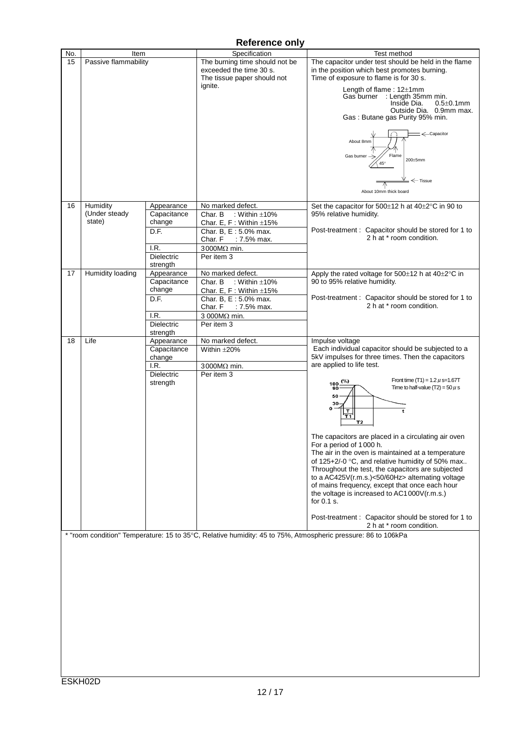| No. | Item                 |             | Specification                                                                                                | Test method                                                                                                                                               |
|-----|----------------------|-------------|--------------------------------------------------------------------------------------------------------------|-----------------------------------------------------------------------------------------------------------------------------------------------------------|
| 15  | Passive flammability |             | The burning time should not be<br>exceeded the time 30 s.<br>The tissue paper should not                     | The capacitor under test should be held in the flame<br>in the position which best promotes burning.<br>Time of exposure to flame is for 30 s.            |
|     |                      |             | ignite.                                                                                                      | Length of flame: 12±1mm<br>Gas burner : Length 35mm min.<br>Inside Dia.<br>$0.5 \pm 0.1$ mm<br>Outside Dia. 0.9mm max.<br>Gas: Butane gas Purity 95% min. |
|     |                      |             |                                                                                                              | ←Capacitor<br>About 8mm<br>Flame<br>Gas burner $\rightarrow$<br>200±5mm<br>45°<br>$\leftarrow$ Tissue<br>About 10mm thick board                           |
| 16  | Humidity             | Appearance  | No marked defect.                                                                                            | Set the capacitor for 500±12 h at 40±2°C in 90 to                                                                                                         |
|     | (Under steady        | Capacitance | : Within $\pm 10\%$<br>Char. B                                                                               | 95% relative humidity.                                                                                                                                    |
|     | state)               | change      | Char. E, F: Within $\pm 15%$                                                                                 |                                                                                                                                                           |
|     |                      | D.F.        | Char. B, E: 5.0% max.<br>Char. F<br>: 7.5% max.                                                              | Post-treatment: Capacitor should be stored for 1 to<br>2 h at * room condition.                                                                           |
|     |                      | I.R.        | $3000M\Omega$ min.                                                                                           |                                                                                                                                                           |
|     |                      | Dielectric  | Per item 3                                                                                                   |                                                                                                                                                           |
|     |                      | strength    |                                                                                                              |                                                                                                                                                           |
| 17  | Humidity loading     | Appearance  | No marked defect.                                                                                            | Apply the rated voltage for 500±12 h at 40±2°C in                                                                                                         |
|     |                      | Capacitance | : Within $\pm 10\%$<br>Char. B                                                                               | 90 to 95% relative humidity.                                                                                                                              |
|     |                      | change      | Char. E, F: Within $\pm 15%$                                                                                 |                                                                                                                                                           |
|     |                      | D.F.        | Char. B, E: 5.0% max.                                                                                        | Post-treatment: Capacitor should be stored for 1 to                                                                                                       |
|     |                      |             | Char. F : 7.5% max.                                                                                          | 2 h at * room condition.                                                                                                                                  |
|     |                      | I.R.        | 3 000MΩ min.                                                                                                 |                                                                                                                                                           |
|     |                      | Dielectric  | Per item 3                                                                                                   |                                                                                                                                                           |
|     |                      | strength    |                                                                                                              |                                                                                                                                                           |
| 18  | Life                 | Appearance  | No marked defect.                                                                                            | Impulse voltage                                                                                                                                           |
|     |                      | Capacitance | Within $\pm 20%$                                                                                             | Each individual capacitor should be subjected to a                                                                                                        |
|     |                      | change      |                                                                                                              | 5kV impulses for three times. Then the capacitors                                                                                                         |
|     |                      | I.R.        | $3000M\Omega$ min.                                                                                           | are applied to life test.                                                                                                                                 |
|     |                      | Dielectric  | Per item 3                                                                                                   |                                                                                                                                                           |
|     |                      | strength    |                                                                                                              | Front time (T1) = $1.2 \mu$ s= $1.67T$<br>$100 \frac{(\%)}{(\%)}$                                                                                         |
|     |                      |             |                                                                                                              | Time to half-value (T2) = 50 $\mu$ s<br>90                                                                                                                |
|     |                      |             |                                                                                                              | 50                                                                                                                                                        |
|     |                      |             |                                                                                                              | 30<br>0                                                                                                                                                   |
|     |                      |             |                                                                                                              | t<br>т<br>$\overline{11}$                                                                                                                                 |
|     |                      |             |                                                                                                              | T <sub>2</sub>                                                                                                                                            |
|     |                      |             |                                                                                                              |                                                                                                                                                           |
|     |                      |             |                                                                                                              | The capacitors are placed in a circulating air oven                                                                                                       |
|     |                      |             |                                                                                                              | For a period of 1000 h.                                                                                                                                   |
|     |                      |             |                                                                                                              | The air in the oven is maintained at a temperature                                                                                                        |
|     |                      |             |                                                                                                              | of 125+2/-0 $\degree$ C, and relative humidity of 50% max                                                                                                 |
|     |                      |             |                                                                                                              | Throughout the test, the capacitors are subjected                                                                                                         |
|     |                      |             |                                                                                                              | to a AC425V(r.m.s.)<50/60Hz> alternating voltage                                                                                                          |
|     |                      |             |                                                                                                              | of mains frequency, except that once each hour                                                                                                            |
|     |                      |             |                                                                                                              | the voltage is increased to AC1000V(r.m.s.)                                                                                                               |
|     |                      |             |                                                                                                              | for $0.1$ s.                                                                                                                                              |
|     |                      |             |                                                                                                              |                                                                                                                                                           |
|     |                      |             |                                                                                                              | Post-treatment : Capacitor should be stored for 1 to<br>2 h at * room condition.                                                                          |
|     |                      |             |                                                                                                              |                                                                                                                                                           |
|     |                      |             | * "room condition" Temperature: 15 to 35°C, Relative humidity: 45 to 75%, Atmospheric pressure: 86 to 106kPa |                                                                                                                                                           |
|     |                      |             |                                                                                                              |                                                                                                                                                           |
|     |                      |             |                                                                                                              |                                                                                                                                                           |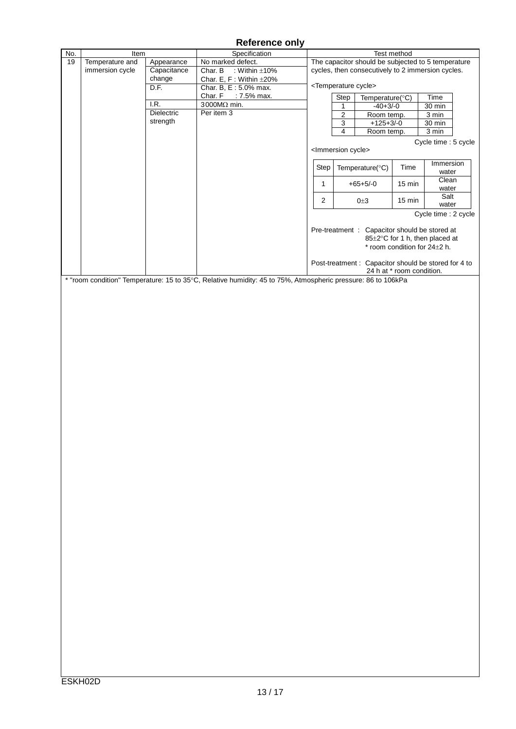| No. | Item            |             | Specification                                                                                                |              |                                  |                                                      | Test method               |                                |  |
|-----|-----------------|-------------|--------------------------------------------------------------------------------------------------------------|--------------|----------------------------------|------------------------------------------------------|---------------------------|--------------------------------|--|
| 19  | Temperature and | Appearance  | No marked defect.                                                                                            |              |                                  | The capacitor should be subjected to 5 temperature   |                           |                                |  |
|     | immersion cycle | Capacitance | Char. B<br>: Within $\pm 10\%$                                                                               |              |                                  | cycles, then consecutively to 2 immersion cycles.    |                           |                                |  |
|     |                 | change      | Char. E, F: Within $\pm 20\%$                                                                                |              |                                  |                                                      |                           |                                |  |
|     |                 | D.F.        | Char. B, E: 5.0% max.                                                                                        |              |                                  | <temperature cycle=""></temperature>                 |                           |                                |  |
|     |                 |             | Char. F : 7.5% max.                                                                                          |              | Step                             | Temperature(°C)                                      |                           | Time                           |  |
|     |                 | I.R.        | 3000MΩ min.                                                                                                  |              | 1                                | $-40+3/-0$                                           |                           | 30 min                         |  |
|     |                 | Dielectric  | Per item 3                                                                                                   |              | $\overline{2}$                   | Room temp.                                           |                           | 3 min                          |  |
|     |                 | strength    |                                                                                                              |              |                                  |                                                      |                           |                                |  |
|     |                 |             |                                                                                                              |              | $\overline{3}$                   | $+125+3/-0$                                          |                           | 30 min                         |  |
|     |                 |             |                                                                                                              |              | $\overline{\mathbf{4}}$          | Room temp.                                           |                           | 3 min                          |  |
|     |                 |             |                                                                                                              |              |                                  |                                                      |                           | Cycle time : 5 cycle           |  |
|     |                 |             |                                                                                                              |              | <lmmersion cycle=""></lmmersion> |                                                      |                           |                                |  |
|     |                 |             |                                                                                                              |              |                                  |                                                      |                           |                                |  |
|     |                 |             |                                                                                                              | Step         |                                  | Temperature(°C)                                      | Time                      | Immersion                      |  |
|     |                 |             |                                                                                                              |              |                                  |                                                      |                           | water                          |  |
|     |                 |             |                                                                                                              | $\mathbf{1}$ |                                  | $+65+5/-0$                                           | 15 min                    | Clean                          |  |
|     |                 |             |                                                                                                              |              |                                  |                                                      |                           | water                          |  |
|     |                 |             |                                                                                                              | $\mathbf 2$  |                                  | $0\pm3$                                              | 15 min                    | Salt                           |  |
|     |                 |             |                                                                                                              |              |                                  |                                                      |                           | water                          |  |
|     |                 |             |                                                                                                              |              |                                  |                                                      |                           | Cycle time : 2 cycle           |  |
|     |                 |             |                                                                                                              |              |                                  |                                                      |                           |                                |  |
|     |                 |             |                                                                                                              |              |                                  | Pre-treatment : Capacitor should be stored at        |                           |                                |  |
|     |                 |             |                                                                                                              |              |                                  |                                                      |                           | 85±2°C for 1 h, then placed at |  |
|     |                 |             |                                                                                                              |              |                                  |                                                      |                           | * room condition for 24±2 h.   |  |
|     |                 |             |                                                                                                              |              |                                  |                                                      |                           |                                |  |
|     |                 |             |                                                                                                              |              |                                  | Post-treatment : Capacitor should be stored for 4 to |                           |                                |  |
|     |                 |             |                                                                                                              |              |                                  |                                                      | 24 h at * room condition. |                                |  |
|     |                 |             | * "room condition" Temperature: 15 to 35°C, Relative humidity: 45 to 75%, Atmospheric pressure: 86 to 106kPa |              |                                  |                                                      |                           |                                |  |
|     |                 |             |                                                                                                              |              |                                  |                                                      |                           |                                |  |
|     |                 |             |                                                                                                              |              |                                  |                                                      |                           |                                |  |
|     |                 |             |                                                                                                              |              |                                  |                                                      |                           |                                |  |
|     |                 |             |                                                                                                              |              |                                  |                                                      |                           |                                |  |
|     |                 |             |                                                                                                              |              |                                  |                                                      |                           |                                |  |
|     |                 |             |                                                                                                              |              |                                  |                                                      |                           |                                |  |
|     |                 |             |                                                                                                              |              |                                  |                                                      |                           |                                |  |
|     |                 |             |                                                                                                              |              |                                  |                                                      |                           |                                |  |
|     |                 |             |                                                                                                              |              |                                  |                                                      |                           |                                |  |
|     |                 |             |                                                                                                              |              |                                  |                                                      |                           |                                |  |
|     |                 |             |                                                                                                              |              |                                  |                                                      |                           |                                |  |
|     |                 |             |                                                                                                              |              |                                  |                                                      |                           |                                |  |
|     |                 |             |                                                                                                              |              |                                  |                                                      |                           |                                |  |
|     |                 |             |                                                                                                              |              |                                  |                                                      |                           |                                |  |
|     |                 |             |                                                                                                              |              |                                  |                                                      |                           |                                |  |
|     |                 |             |                                                                                                              |              |                                  |                                                      |                           |                                |  |
|     |                 |             |                                                                                                              |              |                                  |                                                      |                           |                                |  |
|     |                 |             |                                                                                                              |              |                                  |                                                      |                           |                                |  |
|     |                 |             |                                                                                                              |              |                                  |                                                      |                           |                                |  |
|     |                 |             |                                                                                                              |              |                                  |                                                      |                           |                                |  |
|     |                 |             |                                                                                                              |              |                                  |                                                      |                           |                                |  |
|     |                 |             |                                                                                                              |              |                                  |                                                      |                           |                                |  |
|     |                 |             |                                                                                                              |              |                                  |                                                      |                           |                                |  |
|     |                 |             |                                                                                                              |              |                                  |                                                      |                           |                                |  |
|     |                 |             |                                                                                                              |              |                                  |                                                      |                           |                                |  |
|     |                 |             |                                                                                                              |              |                                  |                                                      |                           |                                |  |
|     |                 |             |                                                                                                              |              |                                  |                                                      |                           |                                |  |
|     |                 |             |                                                                                                              |              |                                  |                                                      |                           |                                |  |
|     |                 |             |                                                                                                              |              |                                  |                                                      |                           |                                |  |
|     |                 |             |                                                                                                              |              |                                  |                                                      |                           |                                |  |
|     |                 |             |                                                                                                              |              |                                  |                                                      |                           |                                |  |
|     |                 |             |                                                                                                              |              |                                  |                                                      |                           |                                |  |
|     |                 |             |                                                                                                              |              |                                  |                                                      |                           |                                |  |
|     |                 |             |                                                                                                              |              |                                  |                                                      |                           |                                |  |
|     |                 |             |                                                                                                              |              |                                  |                                                      |                           |                                |  |
|     |                 |             |                                                                                                              |              |                                  |                                                      |                           |                                |  |
|     |                 |             |                                                                                                              |              |                                  |                                                      |                           |                                |  |
|     |                 |             |                                                                                                              |              |                                  |                                                      |                           |                                |  |
|     |                 |             |                                                                                                              |              |                                  |                                                      |                           |                                |  |
|     |                 |             |                                                                                                              |              |                                  |                                                      |                           |                                |  |
|     |                 |             |                                                                                                              |              |                                  |                                                      |                           |                                |  |
|     |                 |             |                                                                                                              |              |                                  |                                                      |                           |                                |  |
|     |                 |             |                                                                                                              |              |                                  |                                                      |                           |                                |  |
|     |                 |             |                                                                                                              |              |                                  |                                                      |                           |                                |  |
|     |                 |             |                                                                                                              |              |                                  |                                                      |                           |                                |  |
|     |                 |             |                                                                                                              |              |                                  |                                                      |                           |                                |  |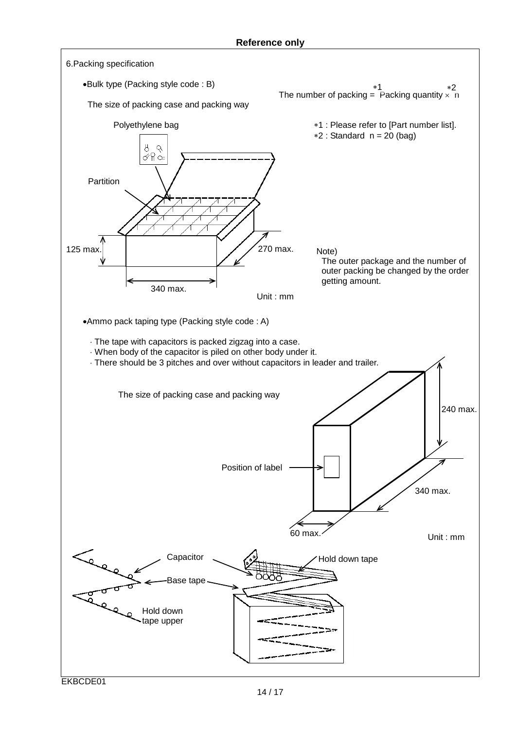![](_page_14_Figure_1.jpeg)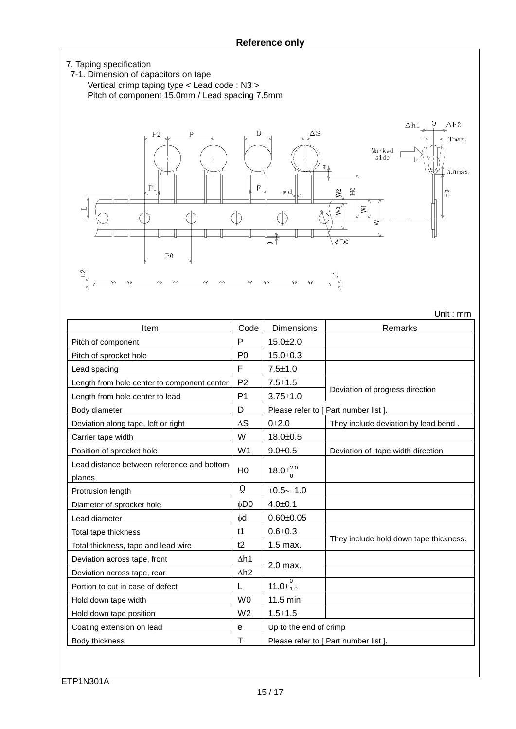![](_page_15_Figure_1.jpeg)

Unit : mm

Item Code Dimensions Remarks Pitch of component P 15.0 $\pm$ 2.0 Pitch of sprocket hole  $\vert$  P0  $\vert$  15.0 $\pm$ 0.3 Lead spacing  $\begin{vmatrix} F & 7.5 \pm 1.0 \end{vmatrix}$ Length from hole center to component center | P2 |  $7.5\pm1.5$ Deviation of progress direction<br>Length from hole center to lead P1 3.75±1.0 Body diameter **D D** Please refer to [ Part number list ]. Deviation along tape, left or right  $\Delta S$   $\Delta S$   $\Delta t$  0±2.0 They include deviation by lead bend. Carrier tape width  $\vert$  W  $\vert$  18.0 $\pm$ 0.5 Position of sprocket hole  $\vert$  W1  $\vert$  9.0±0.5  $\vert$  Deviation of tape width direction Lead distance between reference and bottom planes H0  $18.0\pm^{2.0}_{2}$ Protrusion length  $\begin{vmatrix} 0 & 1 \\ 1 & -0.5 \end{vmatrix}$  +0.5∼−1.0 Diameter of sprocket hole  $\phi$ D0 4.0±0.1 Lead diameter  $\vert \phi d \vert$  0.60 $\pm$ 0.05 Total tape thickness  $\vert$  t1  $\vert$  0.6 $\pm$ 0.3 They include hold down tape thickness.<br>Total thickness, tape and lead wire t2 1.5 max. Deviation across tape, front ∴ ∴ △h1 2.0 max. Deviation across tape, rear <br> ∆h2 Portion to cut in case of defect  $|L|$ Hold down tape width  $\vert$  W0  $\vert$  11.5 min. Hold down tape position  $\vert$  W2  $\vert$  1.5 $\pm$ 1.5 Coating extension on lead  $\begin{vmatrix} e \\ \end{vmatrix}$  e Up to the end of crimp Body thickness **T** Please refer to [ Part number list ]. 0 0 1.0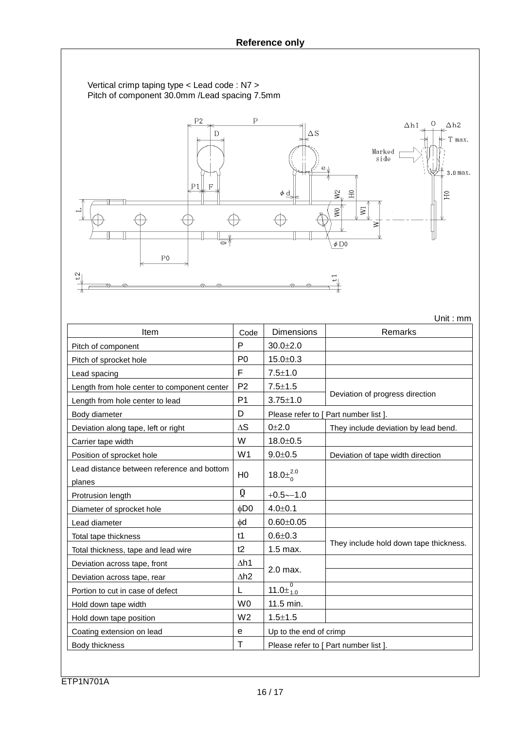Vertical crimp taping type < Lead code : N7 > Pitch of component 30.0mm /Lead spacing 7.5mm

![](_page_16_Figure_2.jpeg)

|                                                      |                 |                                             | Unit: mm                               |
|------------------------------------------------------|-----------------|---------------------------------------------|----------------------------------------|
| Item                                                 | Code            | <b>Dimensions</b>                           | Remarks                                |
| Pitch of component                                   | P               | $30.0 + 2.0$                                |                                        |
| Pitch of sprocket hole                               | P <sub>0</sub>  | $15.0 + 0.3$                                |                                        |
| Lead spacing                                         | F               | $7.5 \pm 1.0$                               |                                        |
| Length from hole center to component center          | P <sub>2</sub>  | $7.5 \pm 1.5$                               |                                        |
| Length from hole center to lead                      | P <sub>1</sub>  | $3.75 \pm 1.0$                              | Deviation of progress direction        |
| Body diameter                                        | D               |                                             | Please refer to [ Part number list ].  |
| Deviation along tape, left or right                  | $\Delta S$      | $0 + 2.0$                                   | They include deviation by lead bend.   |
| Carrier tape width                                   | W               | $18.0 + 0.5$                                |                                        |
| Position of sprocket hole                            | W <sub>1</sub>  | $9.0 \pm 0.5$                               | Deviation of tape width direction      |
| Lead distance between reference and bottom<br>planes | H <sub>0</sub>  | 18.0 $\pm^{2.0}_{0}$                        |                                        |
| Protrusion length                                    | Q               | $+0.5 - -1.0$                               |                                        |
| Diameter of sprocket hole                            | φD <sub>0</sub> | $4.0{\pm}0.1$                               |                                        |
| Lead diameter                                        | $\phi$ d        | $0.60 + 0.05$                               |                                        |
| Total tape thickness                                 | t1              | $0.6 + 0.3$                                 |                                        |
| Total thickness, tape and lead wire                  | t2              | $1.5$ max.                                  | They include hold down tape thickness. |
| Deviation across tape, front                         | $\Delta h1$     |                                             |                                        |
| Deviation across tape, rear                          | $\Delta h2$     | 2.0 max.                                    |                                        |
| Portion to cut in case of defect                     | L               | $\overline{0}$<br>11.0 $\pm$ <sub>1.0</sub> |                                        |
| Hold down tape width                                 | W <sub>0</sub>  | 11.5 min.                                   |                                        |
| Hold down tape position                              | W <sub>2</sub>  | $1.5 + 1.5$                                 |                                        |
| Coating extension on lead                            | е               | Up to the end of crimp                      |                                        |
| Body thickness                                       | т               |                                             | Please refer to [ Part number list ].  |

ETP1N701A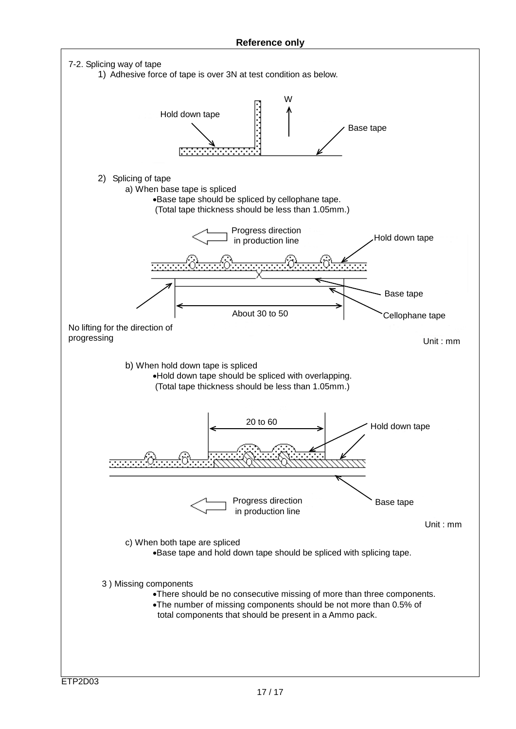![](_page_17_Figure_1.jpeg)